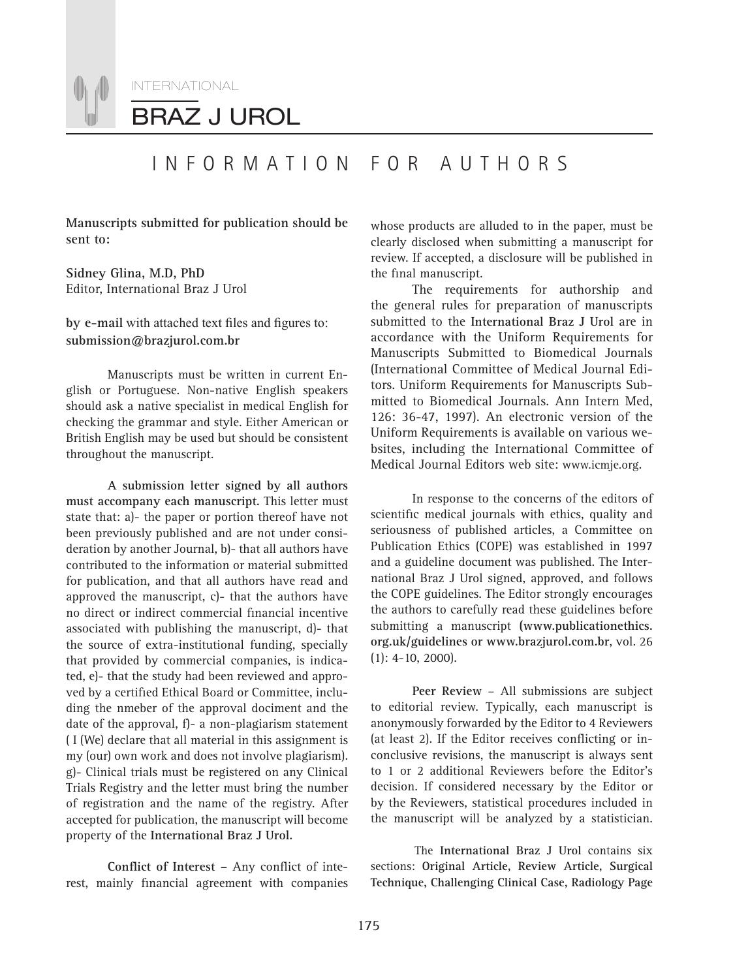

## INFORMATION FOR AUTHORS

**Manuscripts submitted for publication should be sent to:**

**Sidney Glina, M.D, PhD** Editor, International Braz J Urol

#### by e-mail with attached text files and figures to: **submission@brazjurol.com.br**

Manuscripts must be written in current English or Portuguese. Non-native English speakers should ask a native specialist in medical English for checking the grammar and style. Either American or British English may be used but should be consistent throughout the manuscript.

**A submission letter signed by all authors must accompany each manuscript.** This letter must state that: a)- the paper or portion thereof have not been previously published and are not under consideration by another Journal, b)- that all authors have contributed to the information or material submitted for publication, and that all authors have read and approved the manuscript, c)- that the authors have no direct or indirect commercial financial incentive associated with publishing the manuscript, d)- that the source of extra-institutional funding, specially that provided by commercial companies, is indicated, e)- that the study had been reviewed and approved by a certified Ethical Board or Committee, including the nmeber of the approval dociment and the date of the approval, f)- a non-plagiarism statement ( I (We) declare that all material in this assignment is my (our) own work and does not involve plagiarism). g)- Clinical trials must be registered on any Clinical Trials Registry and the letter must bring the number of registration and the name of the registry. After accepted for publication, the manuscript will become property of the **International Braz J Urol.**

Conflict of Interest - Any conflict of interest, mainly financial agreement with companies

whose products are alluded to in the paper, must be clearly disclosed when submitting a manuscript for review. If accepted, a disclosure will be published in the final manuscript.

The requirements for authorship and the general rules for preparation of manuscripts submitted to the **International Braz J Urol** are in accordance with the Uniform Requirements for Manuscripts Submitted to Biomedical Journals (International Committee of Medical Journal Editors. Uniform Requirements for Manuscripts Submitted to Biomedical Journals. Ann Intern Med, 126: 36-47, 1997). An electronic version of the Uniform Requirements is available on various websites, including the International Committee of Medical Journal Editors web site: www.icmje.org.

In response to the concerns of the editors of scientific medical journals with ethics, quality and seriousness of published articles, a Committee on Publication Ethics (COPE) was established in 1997 and a guideline document was published. The International Braz J Urol signed, approved, and follows the COPE guidelines. The Editor strongly encourages the authors to carefully read these guidelines before submitting a manuscript **(www.publicationethics. org.uk/guidelines or www.brazjurol.com.br**, vol. 26 (1): 4-10, 2000).

**Peer Review** – All submissions are subject to editorial review. Typically, each manuscript is anonymously forwarded by the Editor to 4 Reviewers (at least 2). If the Editor receives conflicting or inconclusive revisions, the manuscript is always sent to 1 or 2 additional Reviewers before the Editor's decision. If considered necessary by the Editor or by the Reviewers, statistical procedures included in the manuscript will be analyzed by a statistician.

The **International Braz J Urol** contains six sections: **Original Article, Review Article, Surgical Technique, Challenging Clinical Case, Radiology Page**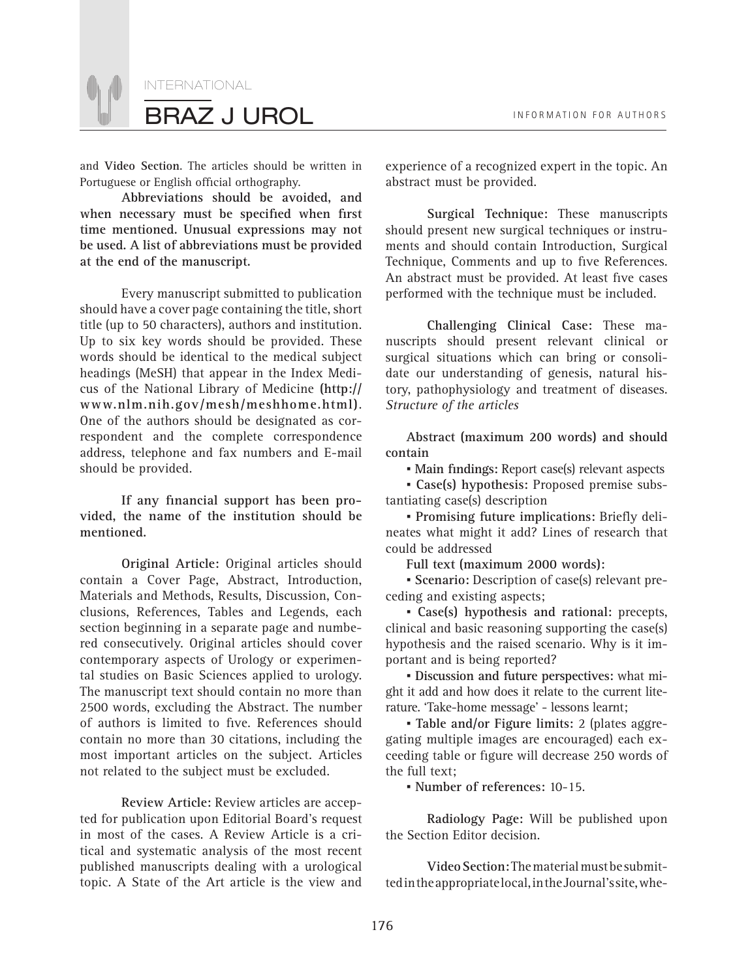

and **Video Section**. The articles should be written in Portuguese or English official orthography.

**Abbreviations should be avoided, and**  when necessary must be specified when first **time mentioned. Unusual expressions may not be used. A list of abbreviations must be provided at the end of the manuscript.** 

Every manuscript submitted to publication should have a cover page containing the title, short title (up to 50 characters), authors and institution. Up to six key words should be provided. These words should be identical to the medical subject headings (MeSH) that appear in the Index Medicus of the National Library of Medicine **(http:// www.nlm.nih.gov/mesh/meshhome.html)**. One of the authors should be designated as correspondent and the complete correspondence address, telephone and fax numbers and E-mail should be provided.

If any financial support has been pro**vided, the name of the institution should be mentioned.**

**Original Article:** Original articles should contain a Cover Page, Abstract, Introduction, Materials and Methods, Results, Discussion, Conclusions, References, Tables and Legends, each section beginning in a separate page and numbered consecutively. Original articles should cover contemporary aspects of Urology or experimental studies on Basic Sciences applied to urology. The manuscript text should contain no more than 2500 words, excluding the Abstract. The number of authors is limited to five. References should contain no more than 30 citations, including the most important articles on the subject. Articles not related to the subject must be excluded.

**Review Article:** Review articles are accepted for publication upon Editorial Board's request in most of the cases. A Review Article is a critical and systematic analysis of the most recent published manuscripts dealing with a urological topic. A State of the Art article is the view and experience of a recognized expert in the topic. An abstract must be provided.

**Surgical Technique:** These manuscripts should present new surgical techniques or instruments and should contain Introduction, Surgical Technique, Comments and up to five References. An abstract must be provided. At least five cases performed with the technique must be included.

**Challenging Clinical Case:** These manuscripts should present relevant clinical or surgical situations which can bring or consolidate our understanding of genesis, natural history, pathophysiology and treatment of diseases. *Structure of the articles*

**Abstract (maximum 200 words) and should contain**

**• Main findings: Report case(s) relevant aspects** 

*▪* **Case(s) hypothesis:** Proposed premise substantiating case(s) description

**• Promising future implications: Briefly deli**neates what might it add? Lines of research that could be addressed

**Full text (maximum 2000 words):**

*▪* **Scenario:** Description of case(s) relevant preceding and existing aspects;

*▪* **Case(s) hypothesis and rational:** precepts, clinical and basic reasoning supporting the case(s) hypothesis and the raised scenario. Why is it important and is being reported?

*▪* **Discussion and future perspectives:** what might it add and how does it relate to the current literature. 'Take-home message' - lessons learnt;

*▪* **Table and/or Figure limits:** 2 (plates aggregating multiple images are encouraged) each exceeding table or figure will decrease 250 words of the full text;

*▪* **Number of references:** 10-15.

**Radiology Page:** Will be published upon the Section Editor decision.

**Video Section:** The material must be submitted in the appropriate local, in the Journal's site, whe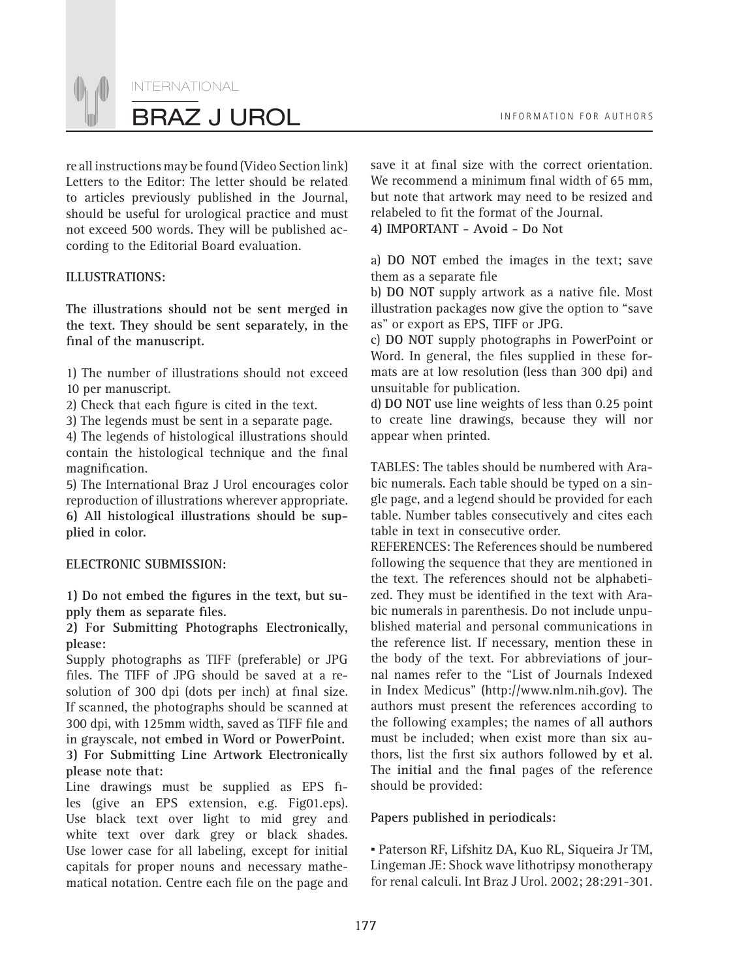INTERNATIONAL BRAZ J UROL **INFORMATION FOR AUTHORS** 

re all instructions may be found (Video Section link) Letters to the Editor: The letter should be related to articles previously published in the Journal, should be useful for urological practice and must not exceed 500 words. They will be published according to the Editorial Board evaluation.

#### **ILLUSTRATIONS:**

**The illustrations should not be sent merged in the text. They should be sent separately, in the**  final of the manuscript.

1) The number of illustrations should not exceed 10 per manuscript.

2) Check that each figure is cited in the text.

3) The legends must be sent in a separate page.

4) The legends of histological illustrations should contain the histological technique and the final magnification.

5) The International Braz J Urol encourages color reproduction of illustrations wherever appropriate. **6) All histological illustrations should be supplied in color.** 

#### **ELECTRONIC SUBMISSION:**

1) Do not embed the figures in the text, but supply them as separate files.

**2) For Submitting Photographs Electronically, please:**

Supply photographs as TIFF (preferable) or JPG files. The TIFF of JPG should be saved at a resolution of 300 dpi (dots per inch) at final size. If scanned, the photographs should be scanned at 300 dpi, with 125mm width, saved as TIFF file and in grayscale, **not embed in Word or PowerPoint. 3) For Submitting Line Artwork Electronically please note that:**

Line drawings must be supplied as EPS files (give an EPS extension, e.g. Fig01.eps). Use black text over light to mid grey and white text over dark grey or black shades. Use lower case for all labeling, except for initial capitals for proper nouns and necessary mathematical notation. Centre each file on the page and save it at final size with the correct orientation. We recommend a minimum final width of 65 mm, but note that artwork may need to be resized and relabeled to fit the format of the Journal.

**4) IMPORTANT - Avoid - Do Not**

a) **DO NOT** embed the images in the text; save them as a separate file

b) DO NOT supply artwork as a native file. Most illustration packages now give the option to "save as" or export as EPS, TIFF or JPG.

c) **DO NOT** supply photographs in PowerPoint or Word. In general, the files supplied in these formats are at low resolution (less than 300 dpi) and unsuitable for publication.

d) **DO NOT** use line weights of less than 0.25 point to create line drawings, because they will nor appear when printed.

TABLES: The tables should be numbered with Arabic numerals. Each table should be typed on a single page, and a legend should be provided for each table. Number tables consecutively and cites each table in text in consecutive order.

REFERENCES: The References should be numbered following the sequence that they are mentioned in the text. The references should not be alphabetized. They must be identified in the text with Arabic numerals in parenthesis. Do not include unpublished material and personal communications in the reference list. If necessary, mention these in the body of the text. For abbreviations of journal names refer to the "List of Journals Indexed in Index Medicus" (http://www.nlm.nih.gov). The authors must present the references according to the following examples; the names of **all authors** must be included; when exist more than six authors, list the first six authors followed by et al. The **initial** and the final pages of the reference should be provided:

#### **Papers published in periodicals:**

*▪* Paterson RF, Lifshitz DA, Kuo RL, Siqueira Jr TM, Lingeman JE: Shock wave lithotripsy monotherapy for renal calculi. Int Braz J Urol. 2002; 28:291-301.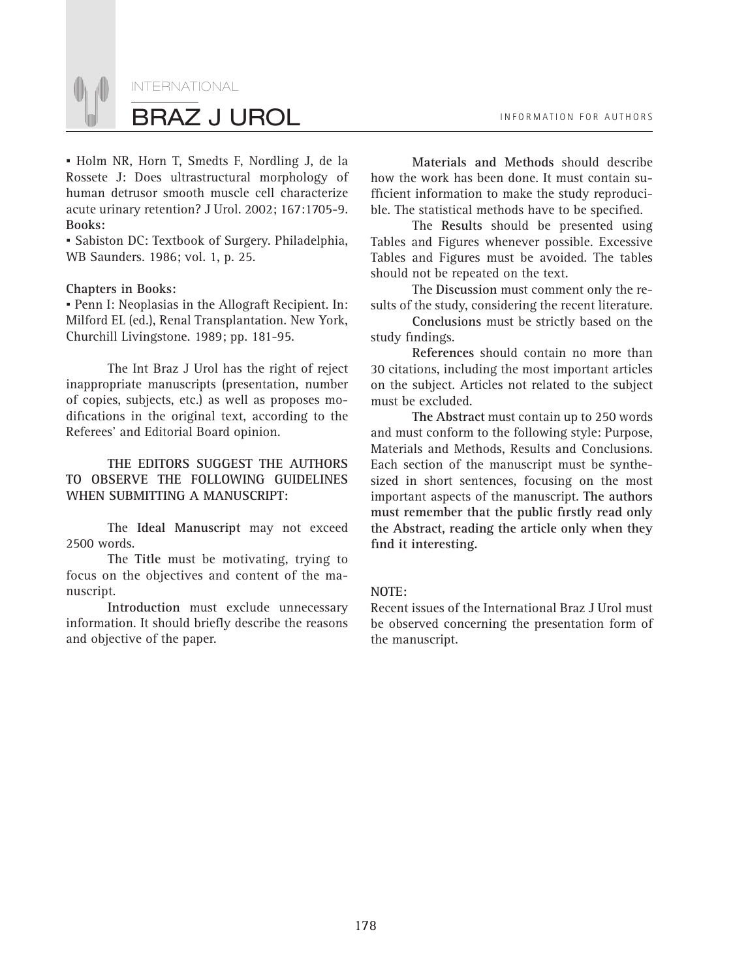

*▪* Holm NR, Horn T, Smedts F, Nordling J, de la Rossete J: Does ultrastructural morphology of human detrusor smooth muscle cell characterize acute urinary retention? J Urol. 2002; 167:1705-9. **Books:**

*▪* Sabiston DC: Textbook of Surgery. Philadelphia, WB Saunders. 1986; vol. 1, p. 25.

#### **Chapters in Books:**

*▪* Penn I: Neoplasias in the Allograft Recipient. In: Milford EL (ed.), Renal Transplantation. New York, Churchill Livingstone. 1989; pp. 181-95.

The Int Braz J Urol has the right of reject inappropriate manuscripts (presentation, number of copies, subjects, etc.) as well as proposes modifications in the original text, according to the Referees' and Editorial Board opinion.

**THE EDITORS SUGGEST THE AUTHORS TO OBSERVE THE FOLLOWING GUIDELINES WHEN SUBMITTING A MANUSCRIPT:**

The **Ideal Manuscript** may not exceed 2500 words.

The **Title** must be motivating, trying to focus on the objectives and content of the manuscript.

**Introduction** must exclude unnecessary information. It should briefly describe the reasons and objective of the paper.

**Materials and Methods** should describe how the work has been done. It must contain sufficient information to make the study reproducible. The statistical methods have to be specified.

The **Results** should be presented using Tables and Figures whenever possible. Excessive Tables and Figures must be avoided. The tables should not be repeated on the text.

The **Discussion** must comment only the results of the study, considering the recent literature.

**Conclusions** must be strictly based on the study findings.

**References** should contain no more than 30 citations, including the most important articles on the subject. Articles not related to the subject must be excluded.

**The Abstract** must contain up to 250 words and must conform to the following style: Purpose, Materials and Methods, Results and Conclusions. Each section of the manuscript must be synthesized in short sentences, focusing on the most important aspects of the manuscript. **The authors**  must remember that the public firstly read only **the Abstract, reading the article only when they**  find it interesting.

#### **NOTE:**

Recent issues of the International Braz J Urol must be observed concerning the presentation form of the manuscript.